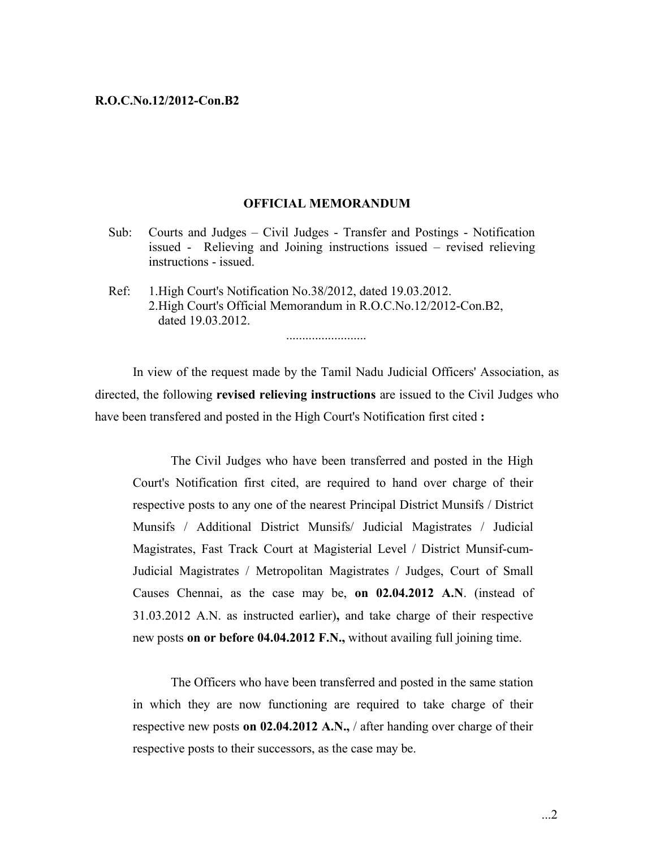#### **OFFICIAL MEMORANDUM**

- Sub: Courts and Judges Civil Judges Transfer and Postings Notification issued - Relieving and Joining instructions issued – revised relieving instructions - issued.
- Ref: 1.High Court's Notification No.38/2012, dated 19.03.2012. 2.High Court's Official Memorandum in R.O.C.No.12/2012-Con.B2, dated 19.03.2012.

.........................

In view of the request made by the Tamil Nadu Judicial Officers' Association, as directed, the following **revised relieving instructions** are issued to the Civil Judges who have been transfered and posted in the High Court's Notification first cited **:**

The Civil Judges who have been transferred and posted in the High Court's Notification first cited, are required to hand over charge of their respective posts to any one of the nearest Principal District Munsifs / District Munsifs / Additional District Munsifs/ Judicial Magistrates / Judicial Magistrates, Fast Track Court at Magisterial Level / District Munsif-cum-Judicial Magistrates / Metropolitan Magistrates / Judges, Court of Small Causes Chennai, as the case may be, **on 02.04.2012 A.N**. (instead of 31.03.2012 A.N. as instructed earlier)**,** and take charge of their respective new posts **on or before 04.04.2012 F.N.,** without availing full joining time.

The Officers who have been transferred and posted in the same station in which they are now functioning are required to take charge of their respective new posts **on 02.04.2012 A.N.,** / after handing over charge of their respective posts to their successors, as the case may be.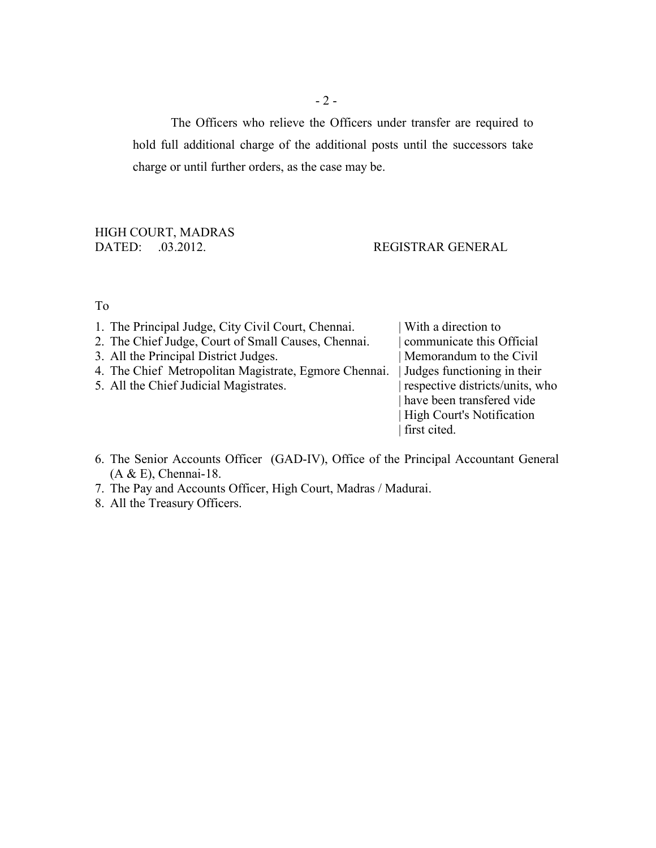The Officers who relieve the Officers under transfer are required to hold full additional charge of the additional posts until the successors take charge or until further orders, as the case may be.

# HIGH COURT, MADRAS<br>DATED: .03.2012.

# REGISTRAR GENERAL

### To

| first cited. | 1. The Principal Judge, City Civil Court, Chennai.<br>2. The Chief Judge, Court of Small Causes, Chennai.<br>3. All the Principal District Judges.<br>4. The Chief Metropolitan Magistrate, Egmore Chennai.<br>5. All the Chief Judicial Magistrates. | With a direction to<br>communicate this Official<br>Memorandum to the Civil<br>Judges functioning in their<br>respective districts/units, who<br>have been transfered vide<br><b>High Court's Notification</b> |
|--------------|-------------------------------------------------------------------------------------------------------------------------------------------------------------------------------------------------------------------------------------------------------|----------------------------------------------------------------------------------------------------------------------------------------------------------------------------------------------------------------|
|--------------|-------------------------------------------------------------------------------------------------------------------------------------------------------------------------------------------------------------------------------------------------------|----------------------------------------------------------------------------------------------------------------------------------------------------------------------------------------------------------------|

- 6. The Senior Accounts Officer (GAD-IV), Office of the Principal Accountant General  $(A & E)$ , Chennai-18.
- 7. The Pay and Accounts Officer, High Court, Madras / Madurai.
- 8. All the Treasury Officers.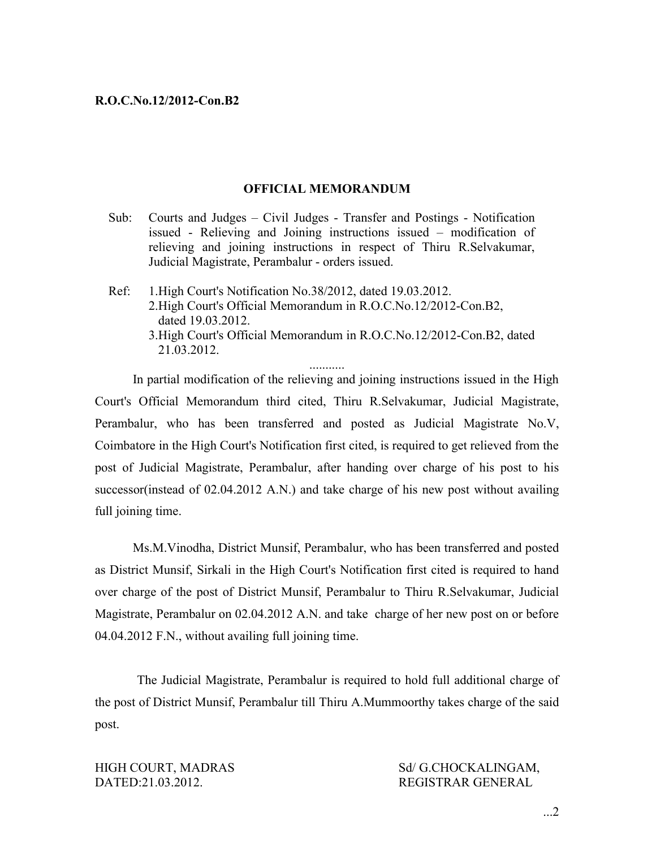## **OFFICIAL MEMORANDUM**

- Sub: Courts and Judges Civil Judges Transfer and Postings Notification issued - Relieving and Joining instructions issued – modification of relieving and joining instructions in respect of Thiru R.Selvakumar, Judicial Magistrate, Perambalur - orders issued.
- Ref: 1.High Court's Notification No.38/2012, dated 19.03.2012. 2.High Court's Official Memorandum in R.O.C.No.12/2012-Con.B2, dated 19.03.2012. 3.High Court's Official Memorandum in R.O.C.No.12/2012-Con.B2, dated 21.03.2012.

In partial modification of the relieving and joining instructions issued in the High Court's Official Memorandum third cited, Thiru R.Selvakumar, Judicial Magistrate, Perambalur, who has been transferred and posted as Judicial Magistrate No.V, Coimbatore in the High Court's Notification first cited, is required to get relieved from the post of Judicial Magistrate, Perambalur, after handing over charge of his post to his successor(instead of 02.04.2012 A.N.) and take charge of his new post without availing full joining time.

Ms.M.Vinodha, District Munsif, Perambalur, who has been transferred and posted as District Munsif, Sirkali in the High Court's Notification first cited is required to hand over charge of the post of District Munsif, Perambalur to Thiru R.Selvakumar, Judicial Magistrate, Perambalur on 02.04.2012 A.N. and take charge of her new post on or before 04.04.2012 F.N., without availing full joining time.

The Judicial Magistrate, Perambalur is required to hold full additional charge of the post of District Munsif, Perambalur till Thiru A.Mummoorthy takes charge of the said post.

HIGH COURT, MADRAS Sd/ G.CHOCKALINGAM, DATED:21.03.2012. REGISTRAR GENERAL